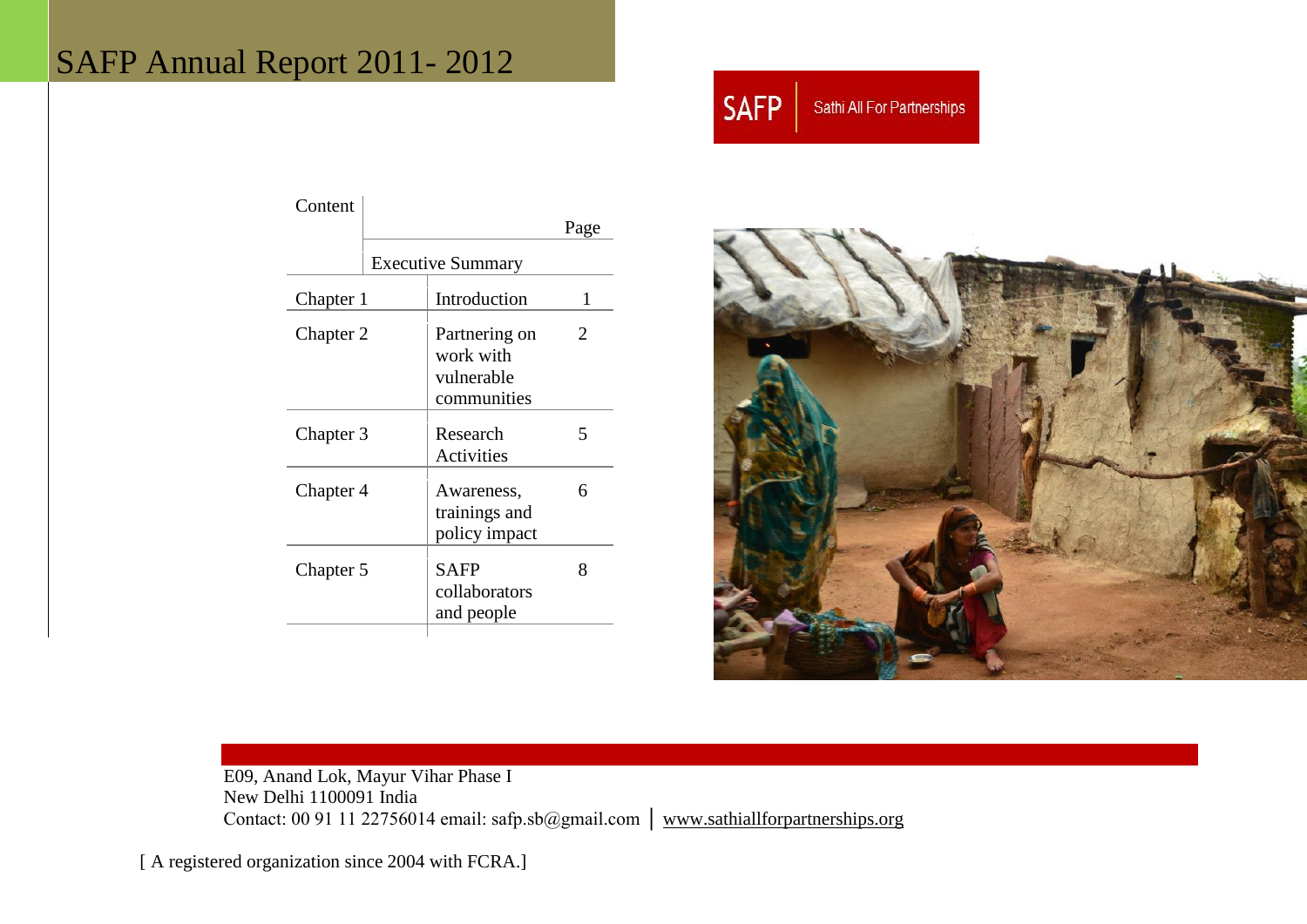# SAFP Annual Report 2011 - 2012



| Content                  |  |                                                         |                       |
|--------------------------|--|---------------------------------------------------------|-----------------------|
|                          |  |                                                         | Page                  |
| <b>Executive Summary</b> |  |                                                         |                       |
| Chapter 1                |  | Introduction                                            | 1                     |
| Chapter 2                |  | Partnering on<br>work with<br>vulnerable<br>communities | $\mathcal{D}_{\cdot}$ |
| Chapter 3                |  | Research<br><b>Activities</b>                           | 5                     |
| Chapter 4                |  | Awareness,<br>trainings and<br>policy impact            | 6                     |
| Chapter 5                |  | <b>SAFP</b><br>collaborators<br>and people              | 8                     |



E09, Anand Lok, Mayur Vihar Phase I New Delhi 1100091 India Contact: 00 91 11 22756014 email: safp.sb@gmail.com │ [www.sathiallforpartnerships.org](http://www.sathiallforpartnerships.org/) 

[ A registered organization since 2004 with FCRA.]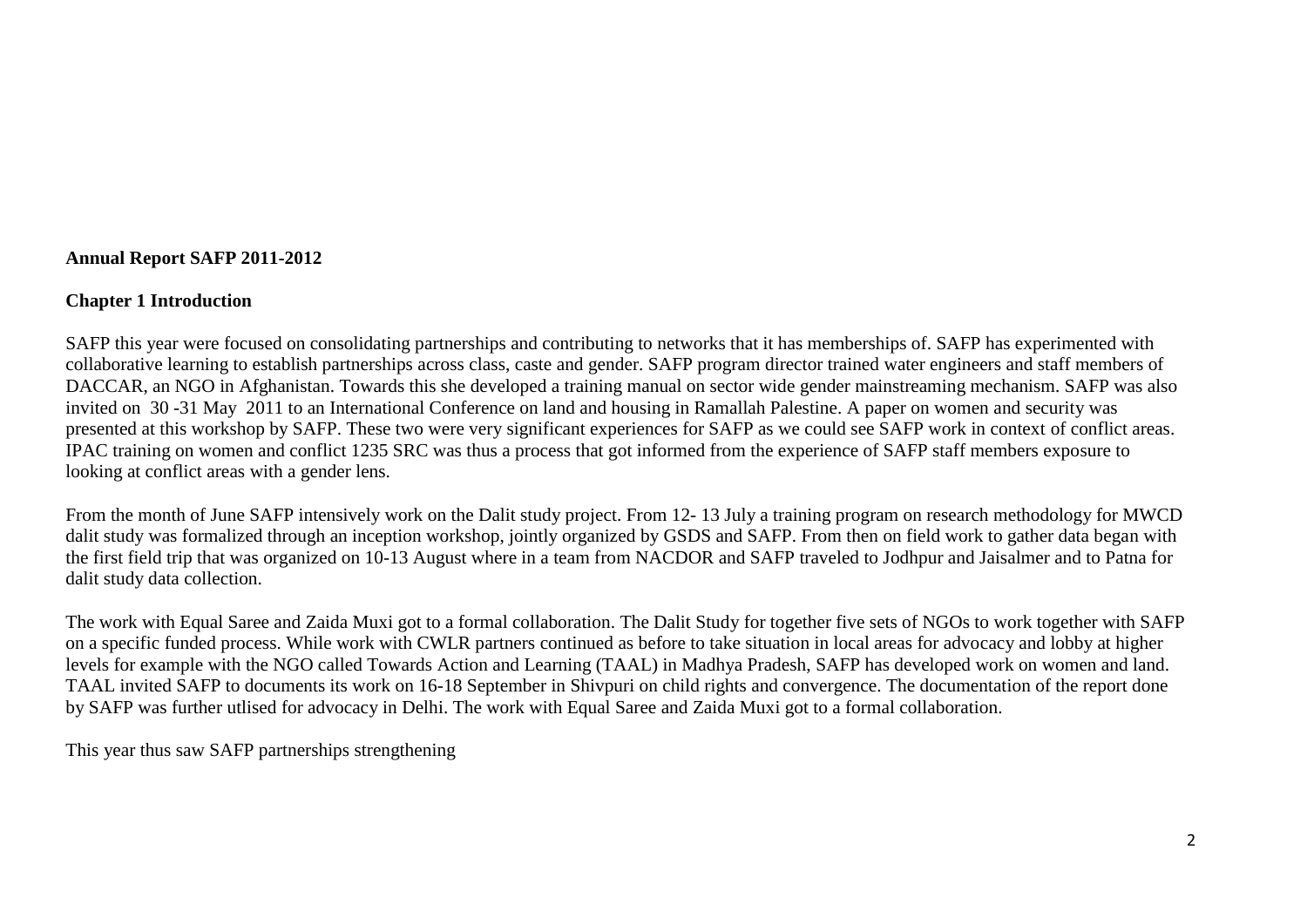## **Annual Report SAFP 2011-2012**

## **Chapter 1 Introduction**

SAFP this year were focused on consolidating partnerships and contributing to networks that it has memberships of. SAFP has experimented with collaborative learning to establish partnerships across class, caste and gender. SAFP program director trained water engineers and staff members of DACCAR, an NGO in Afghanistan. Towards this she developed a training manual on sector wide gender mainstreaming mechanism. SAFP was also invited on 30 -31 May 2011 to an International Conference on land and housing in Ramallah Palestine. A paper on women and security was presented at this workshop by SAFP. These two were very significant experiences for SAFP as we could see SAFP work in context of conflict areas. IPAC training on women and conflict 1235 SRC was thus a process that got informed from the experience of SAFP staff members exposure to looking at conflict areas with a gender lens.

From the month of June SAFP intensively work on the Dalit study project. From 12- 13 July a training program on research methodology for MWCD dalit study was formalized through an inception workshop, jointly organized by GSDS and SAFP. From then on field work to gather data began with the first field trip that was organized on 10-13 August where in a team from NACDOR and SAFP traveled to Jodhpur and Jaisalmer and to Patna for dalit study data collection.

The work with Equal Saree and Zaida Muxi got to a formal collaboration. The Dalit Study for together five sets of NGOs to work together with SAFP on a specific funded process. While work with CWLR partners continued as before to take situation in local areas for advocacy and lobby at higher levels for example with the NGO called Towards Action and Learning (TAAL) in Madhya Pradesh, SAFP has developed work on women and land. TAAL invited SAFP to documents its work on 16-18 September in Shivpuri on child rights and convergence. The documentation of the report done by SAFP was further utlised for advocacy in Delhi. The work with Equal Saree and Zaida Muxi got to a formal collaboration.

This year thus saw SAFP partnerships strengthening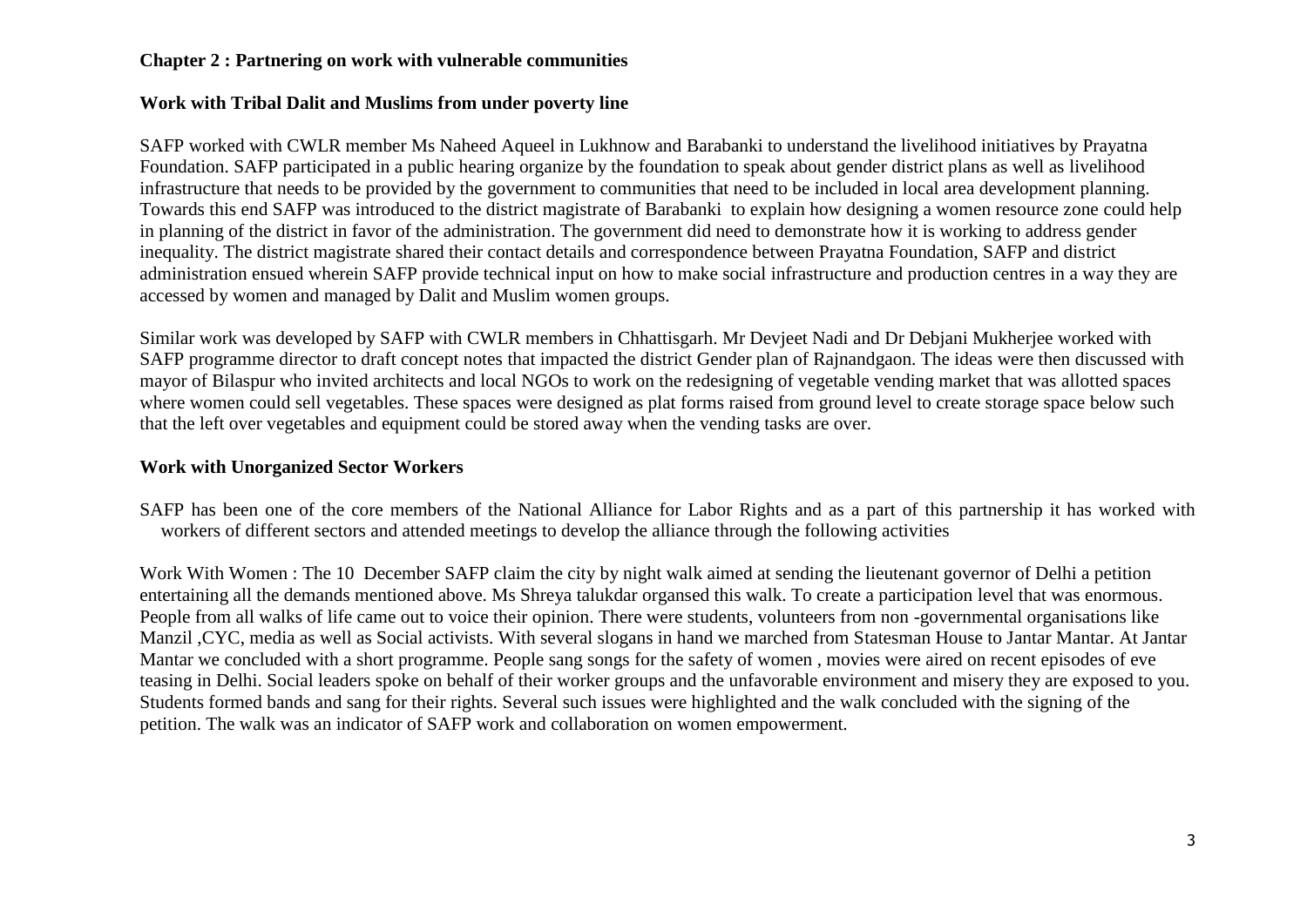# **Chapter 2 : Partnering on work with vulnerable communities**

## **Work with Tribal Dalit and Muslims from under poverty line**

SAFP worked with CWLR member Ms Naheed Aqueel in Lukhnow and Barabanki to understand the livelihood initiatives by Prayatna Foundation. SAFP participated in a public hearing organize by the foundation to speak about gender district plans as well as livelihood infrastructure that needs to be provided by the government to communities that need to be included in local area development planning. Towards this end SAFP was introduced to the district magistrate of Barabanki to explain how designing a women resource zone could help in planning of the district in favor of the administration. The government did need to demonstrate how it is working to address gender inequality. The district magistrate shared their contact details and correspondence between Prayatna Foundation, SAFP and district administration ensued wherein SAFP provide technical input on how to make social infrastructure and production centres in a way they are accessed by women and managed by Dalit and Muslim women groups.

Similar work was developed by SAFP with CWLR members in Chhattisgarh. Mr Devjeet Nadi and Dr Debjani Mukherjee worked with SAFP programme director to draft concept notes that impacted the district Gender plan of Rajnandgaon. The ideas were then discussed with mayor of Bilaspur who invited architects and local NGOs to work on the redesigning of vegetable vending market that was allotted spaces where women could sell vegetables. These spaces were designed as plat forms raised from ground level to create storage space below such that the left over vegetables and equipment could be stored away when the vending tasks are over.

## **Work with Unorganized Sector Workers**

SAFP has been one of the core members of the National Alliance for Labor Rights and as a part of this partnership it has worked with workers of different sectors and attended meetings to develop the alliance through the following activities

Work With Women : The 10 December SAFP claim the city by night walk aimed at sending the lieutenant governor of Delhi a petition entertaining all the demands mentioned above. Ms Shreya talukdar organsed this walk. To create a participation level that was enormous. People from all walks of life came out to voice their opinion. There were students, volunteers from non -governmental organisations like Manzil ,CYC, media as well as Social activists. With several slogans in hand we marched from Statesman House to Jantar Mantar. At Jantar Mantar we concluded with a short programme. People sang songs for the safety of women , movies were aired on recent episodes of eve teasing in Delhi. Social leaders spoke on behalf of their worker groups and the unfavorable environment and misery they are exposed to you. Students formed bands and sang for their rights. Several such issues were highlighted and the walk concluded with the signing of the petition. The walk was an indicator of SAFP work and collaboration on women empowerment.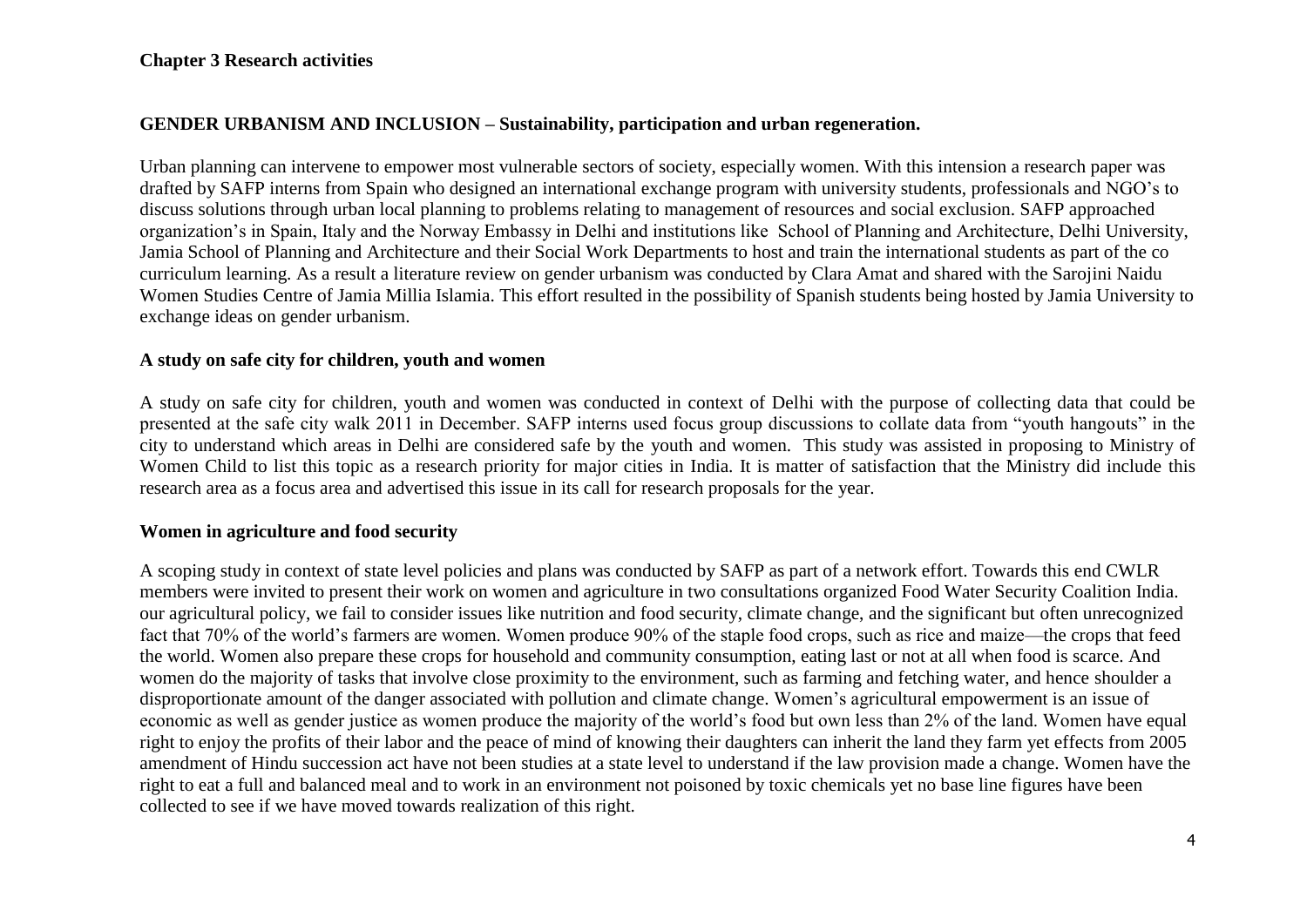## **Chapter 3 Research activities**

## **GENDER URBANISM AND INCLUSION – Sustainability, participation and urban regeneration.**

Urban planning can intervene to empower most vulnerable sectors of society, especially women. With this intension a research paper was drafted by SAFP interns from Spain who designed an international exchange program with university students, professionals and NGO's to discuss solutions through urban local planning to problems relating to management of resources and social exclusion. SAFP approached organization's in Spain, Italy and the Norway Embassy in Delhi and institutions like School of Planning and Architecture, Delhi University, Jamia School of Planning and Architecture and their Social Work Departments to host and train the international students as part of the co curriculum learning. As a result a literature review on gender urbanism was conducted by Clara Amat and shared with the Sarojini Naidu Women Studies Centre of Jamia Millia Islamia. This effort resulted in the possibility of Spanish students being hosted by Jamia University to exchange ideas on gender urbanism.

#### **A study on safe city for children, youth and women**

A study on safe city for children, youth and women was conducted in context of Delhi with the purpose of collecting data that could be presented at the safe city walk 2011 in December. SAFP interns used focus group discussions to collate data from "youth hangouts" in the city to understand which areas in Delhi are considered safe by the youth and women. This study was assisted in proposing to Ministry of Women Child to list this topic as a research priority for major cities in India. It is matter of satisfaction that the Ministry did include this research area as a focus area and advertised this issue in its call for research proposals for the year.

## **Women in agriculture and food security**

A scoping study in context of state level policies and plans was conducted by SAFP as part of a network effort. Towards this end CWLR members were invited to present their work on women and agriculture in two consultations organized Food Water Security Coalition India. our agricultural policy, we fail to consider issues like nutrition and food security, climate change, and the significant but often unrecognized fact that 70% of the world's farmers are women. Women produce 90% of the staple food crops, such as rice and maize—the crops that feed the world. Women also prepare these crops for household and community consumption, eating last or not at all when food is scarce. And women do the majority of tasks that involve close proximity to the environment, such as farming and fetching water, and hence shoulder a disproportionate amount of the danger associated with pollution and climate change. Women's agricultural empowerment is an issue of economic as well as gender justice as women produce the majority of the world's food but own less than 2% of the land. Women have equal right to enjoy the profits of their labor and the peace of mind of knowing their daughters can inherit the land they farm yet effects from 2005 amendment of Hindu succession act have not been studies at a state level to understand if the law provision made a change. Women have the right to eat a full and balanced meal and to work in an environment not poisoned by toxic chemicals yet no base line figures have been collected to see if we have moved towards realization of this right.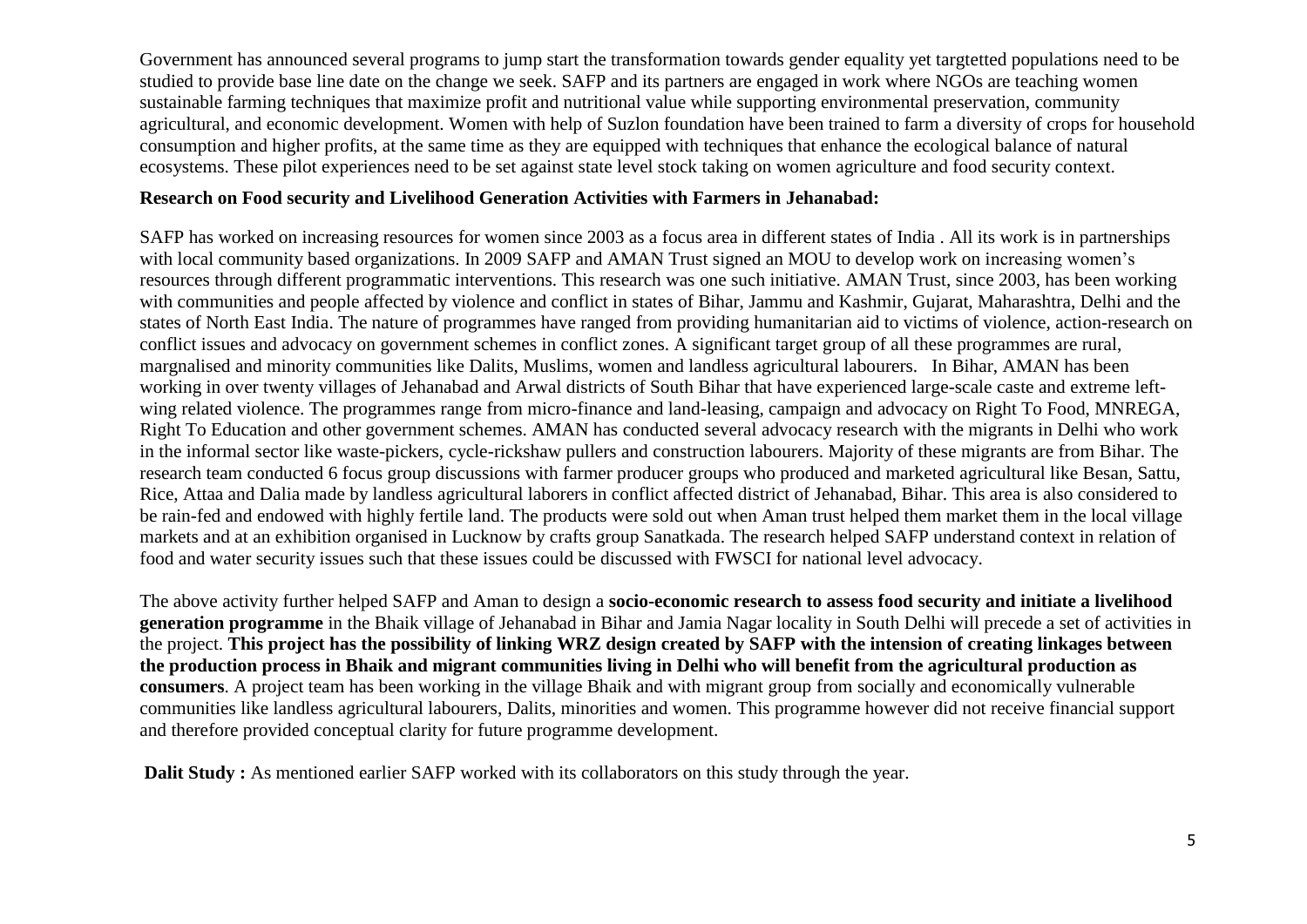Government has announced several programs to jump start the transformation towards gender equality yet targtetted populations need to be studied to provide base line date on the change we seek. SAFP and its partners are engaged in work where NGOs are teaching women sustainable farming techniques that maximize profit and nutritional value while supporting environmental preservation, community agricultural, and economic development. Women with help of Suzlon foundation have been trained to farm a diversity of crops for household consumption and higher profits, at the same time as they are equipped with techniques that enhance the ecological balance of natural ecosystems. These pilot experiences need to be set against state level stock taking on women agriculture and food security context.

## **Research on Food security and Livelihood Generation Activities with Farmers in Jehanabad:**

SAFP has worked on increasing resources for women since 2003 as a focus area in different states of India . All its work is in partnerships with local community based organizations. In 2009 SAFP and AMAN Trust signed an MOU to develop work on increasing women's resources through different programmatic interventions. This research was one such initiative. AMAN Trust, since 2003, has been working with communities and people affected by violence and conflict in states of Bihar, Jammu and Kashmir, Gujarat, Maharashtra, Delhi and the states of North East India. The nature of programmes have ranged from providing humanitarian aid to victims of violence, action-research on conflict issues and advocacy on government schemes in conflict zones. A significant target group of all these programmes are rural, margnalised and minority communities like Dalits, Muslims, women and landless agricultural labourers. In Bihar, AMAN has been working in over twenty villages of Jehanabad and Arwal districts of South Bihar that have experienced large-scale caste and extreme leftwing related violence. The programmes range from micro-finance and land-leasing, campaign and advocacy on Right To Food, MNREGA, Right To Education and other government schemes. AMAN has conducted several advocacy research with the migrants in Delhi who work in the informal sector like waste-pickers, cycle-rickshaw pullers and construction labourers. Majority of these migrants are from Bihar. The research team conducted 6 focus group discussions with farmer producer groups who produced and marketed agricultural like Besan, Sattu, Rice, Attaa and Dalia made by landless agricultural laborers in conflict affected district of Jehanabad, Bihar. This area is also considered to be rain-fed and endowed with highly fertile land. The products were sold out when Aman trust helped them market them in the local village markets and at an exhibition organised in Lucknow by crafts group Sanatkada. The research helped SAFP understand context in relation of food and water security issues such that these issues could be discussed with FWSCI for national level advocacy.

The above activity further helped SAFP and Aman to design a **socio-economic research to assess food security and initiate a livelihood generation programme** in the Bhaik village of Jehanabad in Bihar and Jamia Nagar locality in South Delhi will precede a set of activities in the project. **This project has the possibility of linking WRZ design created by SAFP with the intension of creating linkages between the production process in Bhaik and migrant communities living in Delhi who will benefit from the agricultural production as consumers**. A project team has been working in the village Bhaik and with migrant group from socially and economically vulnerable communities like landless agricultural labourers, Dalits, minorities and women. This programme however did not receive financial support and therefore provided conceptual clarity for future programme development.

**Dalit Study :** As mentioned earlier SAFP worked with its collaborators on this study through the year.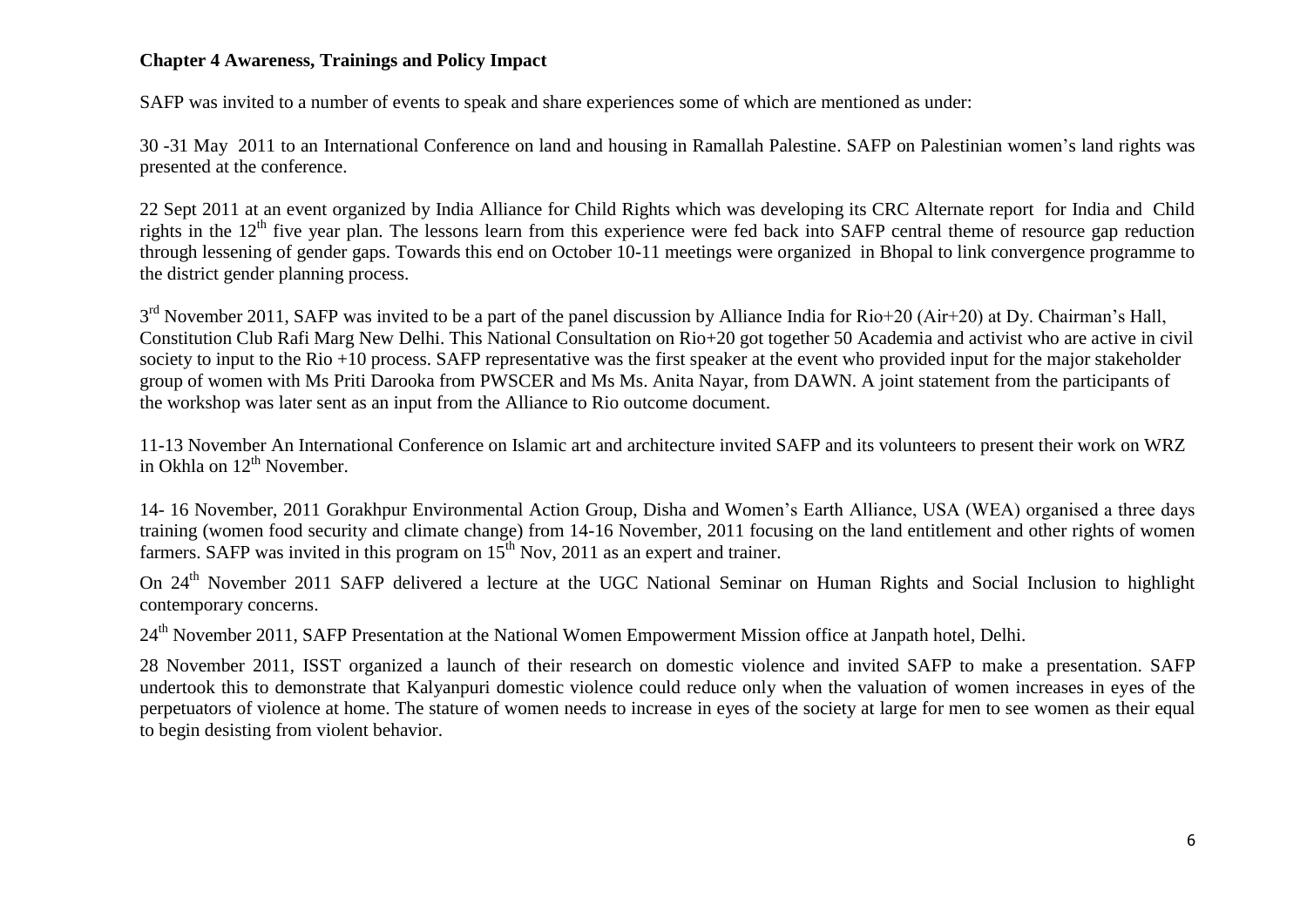# **Chapter 4 Awareness, Trainings and Policy Impact**

SAFP was invited to a number of events to speak and share experiences some of which are mentioned as under:

30 -31 May 2011 to an International Conference on land and housing in Ramallah Palestine. SAFP on Palestinian women's land rights was presented at the conference.

22 Sept 2011 at an event organized by India Alliance for Child Rights which was developing its CRC Alternate report for India and Child rights in the  $12<sup>th</sup>$  five year plan. The lessons learn from this experience were fed back into SAFP central theme of resource gap reduction through lessening of gender gaps. Towards this end on October 10-11 meetings were organized in Bhopal to link convergence programme to the district gender planning process.

 $3<sup>rd</sup>$  November 2011, SAFP was invited to be a part of the panel discussion by Alliance India for Rio+20 (Air+20) at Dy. Chairman's Hall, Constitution Club Rafi Marg New Delhi. This National Consultation on Rio+20 got together 50 Academia and activist who are active in civil society to input to the Rio +10 process. SAFP representative was the first speaker at the event who provided input for the major stakeholder group of women with Ms Priti Darooka from PWSCER and Ms Ms. Anita Nayar, from DAWN. A joint statement from the participants of the workshop was later sent as an input from the Alliance to Rio outcome document.

11-13 November An International Conference on Islamic art and architecture invited SAFP and its volunteers to present their work on WRZ in Okhla on  $12^{th}$  November.

14- 16 November, 2011 Gorakhpur Environmental Action Group, Disha and Women's Earth Alliance, USA (WEA) organised a three days training (women food security and climate change) from 14-16 November, 2011 focusing on the land entitlement and other rights of women farmers. SAFP was invited in this program on  $15<sup>th</sup>$  Nov, 2011 as an expert and trainer.

On 24<sup>th</sup> November 2011 SAFP delivered a lecture at the UGC National Seminar on Human Rights and Social Inclusion to highlight contemporary concerns.

24<sup>th</sup> November 2011. SAFP Presentation at the National Women Empowerment Mission office at Janpath hotel, Delhi.

28 November 2011, ISST organized a launch of their research on domestic violence and invited SAFP to make a presentation. SAFP undertook this to demonstrate that Kalyanpuri domestic violence could reduce only when the valuation of women increases in eyes of the perpetuators of violence at home. The stature of women needs to increase in eyes of the society at large for men to see women as their equal to begin desisting from violent behavior.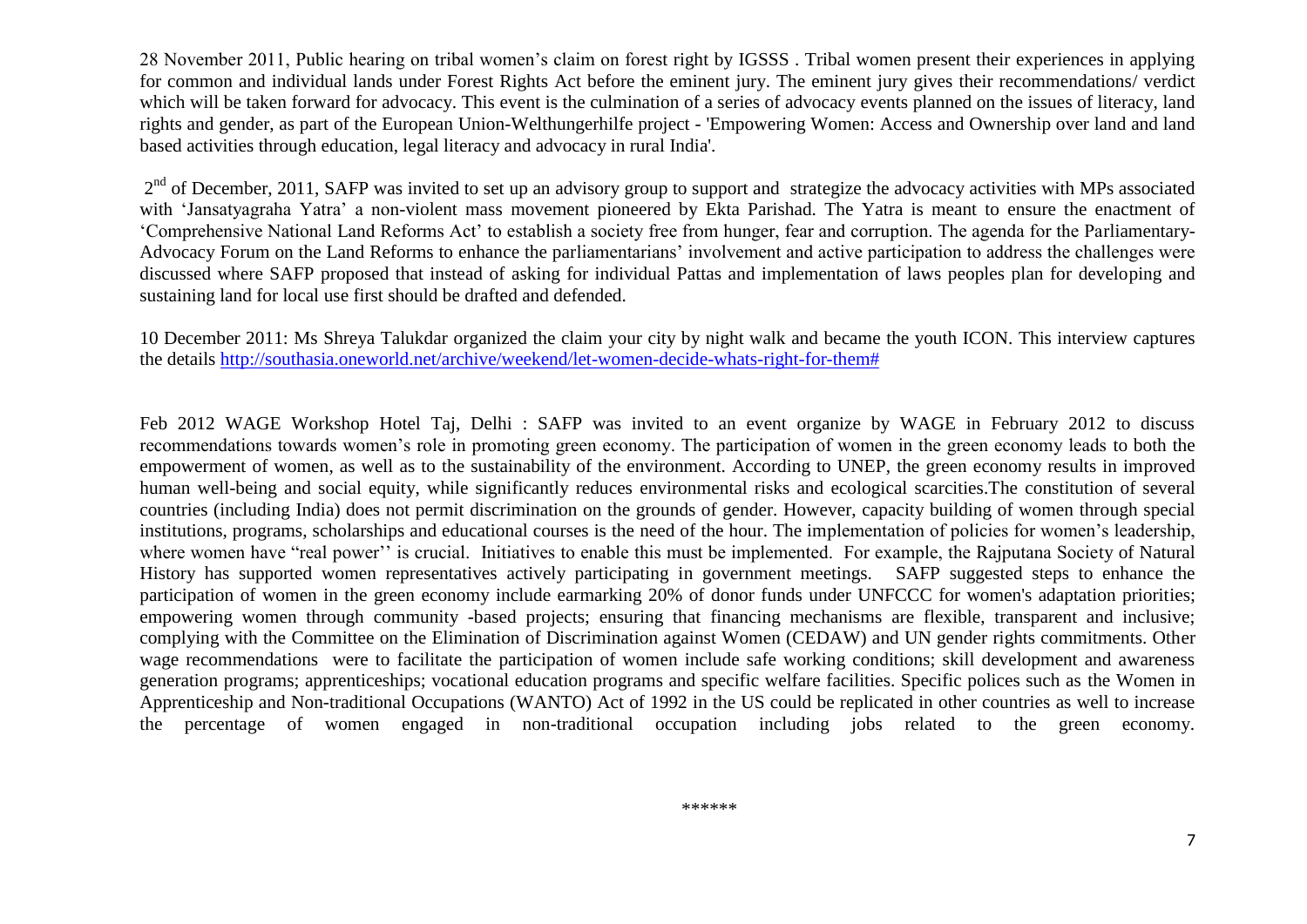28 November 2011, Public hearing on tribal women's claim on forest right by IGSSS . Tribal women present their experiences in applying for common and individual lands under Forest Rights Act before the eminent jury. The eminent jury gives their recommendations/ verdict which will be taken forward for advocacy. This event is the culmination of a series of advocacy events planned on the issues of literacy, land rights and gender, as part of the European Union-Welthungerhilfe project - 'Empowering Women: Access and Ownership over land and land based activities through education, legal literacy and advocacy in rural India'.

2<sup>nd</sup> of December, 2011, SAFP was invited to set up an advisory group to support and strategize the advocacy activities with MPs associated with 'Jansatyagraha Yatra' a non-violent mass movement pioneered by Ekta Parishad. The Yatra is meant to ensure the enactment of 'Comprehensive National Land Reforms Act' to establish a society free from hunger, fear and corruption. The agenda for the Parliamentary-Advocacy Forum on the Land Reforms to enhance the parliamentarians' involvement and active participation to address the challenges were discussed where SAFP proposed that instead of asking for individual Pattas and implementation of laws peoples plan for developing and sustaining land for local use first should be drafted and defended.

10 December 2011: Ms Shreya Talukdar organized the claim your city by night walk and became the youth ICON. This interview captures the details [http://southasia.oneworld.net/archive/weekend/let-women-decide-whats-right-for-them#](http://southasia.oneworld.net/archive/weekend/let-women-decide-whats-right-for-them)

Feb 2012 WAGE Workshop Hotel Taj, Delhi : SAFP was invited to an event organize by WAGE in February 2012 to discuss recommendations towards women's role in promoting green economy. The participation of women in the green economy leads to both the empowerment of women, as well as to the sustainability of the environment. According to UNEP, the green economy results in improved human well-being and social equity, while significantly reduces environmental risks and ecological scarcities.The constitution of several countries (including India) does not permit discrimination on the grounds of gender. However, capacity building of women through special institutions, programs, scholarships and educational courses is the need of the hour. The implementation of policies for women's leadership, where women have "real power" is crucial. Initiatives to enable this must be implemented. For example, the Rajputana Society of Natural History has supported women representatives actively participating in government meetings. SAFP suggested steps to enhance the participation of women in the green economy include earmarking 20% of donor funds under UNFCCC for women's adaptation priorities; empowering women through community -based projects; ensuring that financing mechanisms are flexible, transparent and inclusive; complying with the Committee on the Elimination of Discrimination against Women (CEDAW) and UN gender rights commitments. Other wage recommendations were to facilitate the participation of women include safe working conditions; skill development and awareness generation programs; apprenticeships; vocational education programs and specific welfare facilities. Specific polices such as the Women in Apprenticeship and Non-traditional Occupations (WANTO) Act of 1992 in the US could be replicated in other countries as well to increase the percentage of women engaged in non-traditional occupation including jobs related to the green economy.